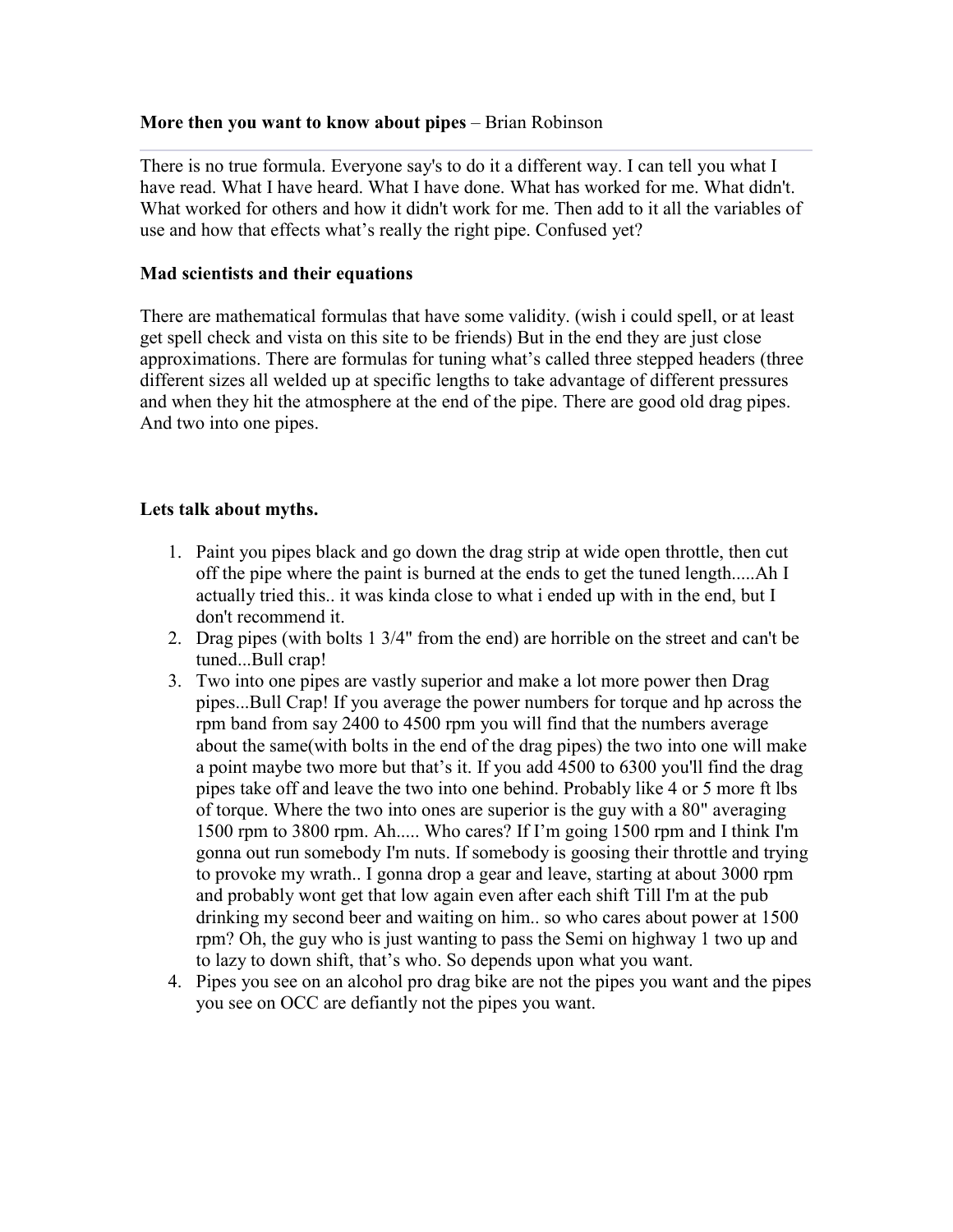## **More then you want to know about pipes** – Brian Robinson

There is no true formula. Everyone say's to do it a different way. I can tell you what I have read. What I have heard. What I have done. What has worked for me. What didn't. What worked for others and how it didn't work for me. Then add to it all the variables of use and how that effects what's really the right pipe. Confused yet?

#### **Mad scientists and their equations**

There are mathematical formulas that have some validity. (wish i could spell, or at least get spell check and vista on this site to be friends) But in the end they are just close approximations. There are formulas for tuning what's called three stepped headers (three different sizes all welded up at specific lengths to take advantage of different pressures and when they hit the atmosphere at the end of the pipe. There are good old drag pipes. And two into one pipes.

## **Lets talk about myths.**

- 1. Paint you pipes black and go down the drag strip at wide open throttle, then cut off the pipe where the paint is burned at the ends to get the tuned length.....Ah I actually tried this.. it was kinda close to what i ended up with in the end, but I don't recommend it.
- 2. Drag pipes (with bolts 1 3/4" from the end) are horrible on the street and can't be tuned...Bull crap!
- 3. Two into one pipes are vastly superior and make a lot more power then Drag pipes...Bull Crap! If you average the power numbers for torque and hp across the rpm band from say 2400 to 4500 rpm you will find that the numbers average about the same(with bolts in the end of the drag pipes) the two into one will make a point maybe two more but that's it. If you add 4500 to 6300 you'll find the drag pipes take off and leave the two into one behind. Probably like 4 or 5 more ft lbs of torque. Where the two into ones are superior is the guy with a 80" averaging 1500 rpm to 3800 rpm. Ah..... Who cares? If I'm going 1500 rpm and I think I'm gonna out run somebody I'm nuts. If somebody is goosing their throttle and trying to provoke my wrath.. I gonna drop a gear and leave, starting at about 3000 rpm and probably wont get that low again even after each shift Till I'm at the pub drinking my second beer and waiting on him.. so who cares about power at 1500 rpm? Oh, the guy who is just wanting to pass the Semi on highway 1 two up and to lazy to down shift, that's who. So depends upon what you want.
- 4. Pipes you see on an alcohol pro drag bike are not the pipes you want and the pipes you see on OCC are defiantly not the pipes you want.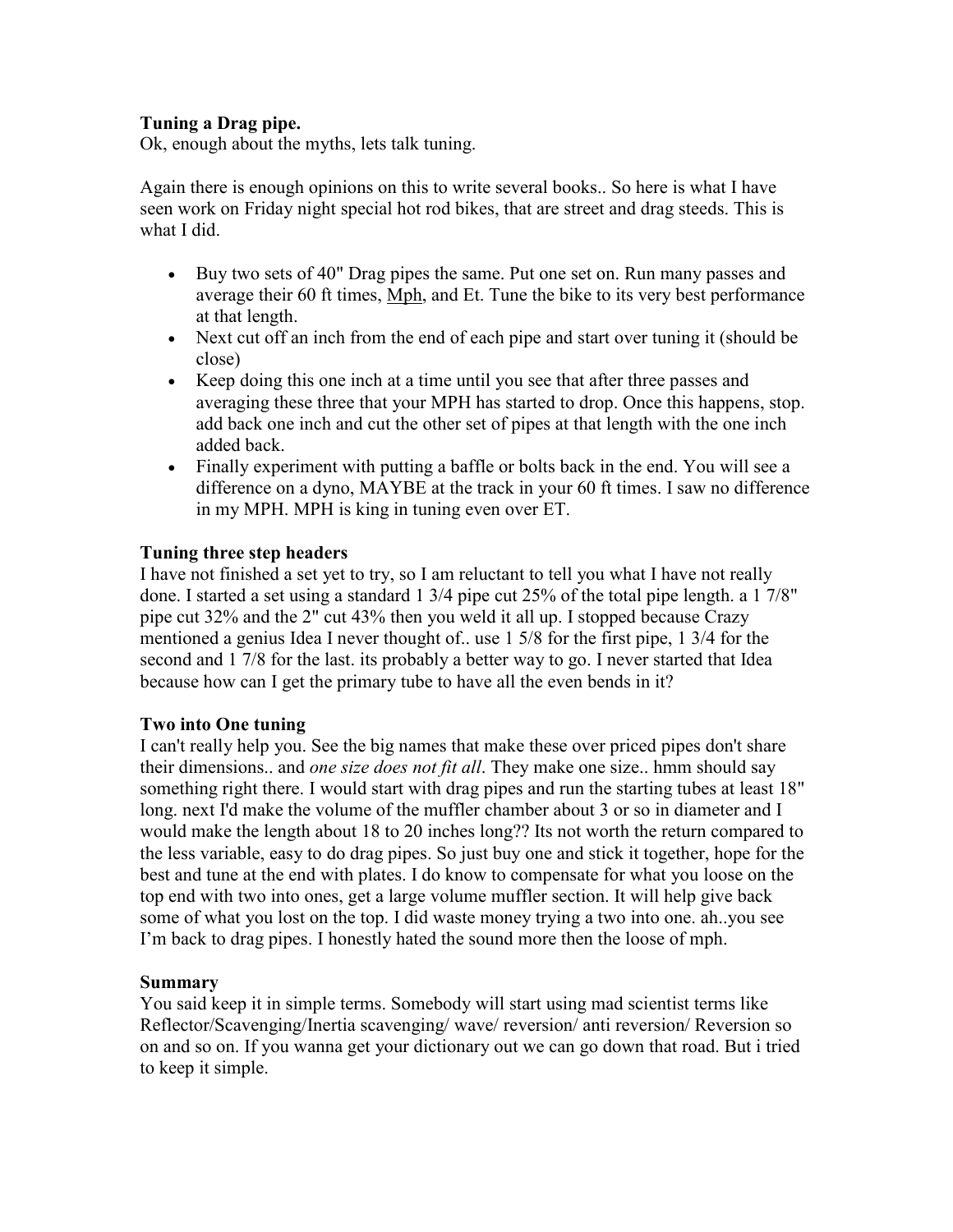## **Tuning a Drag pipe.**

Ok, enough about the myths, lets talk tuning.

Again there is enough opinions on this to write several books.. So here is what I have seen work on Friday night special hot rod bikes, that are street and drag steeds. This is what I did.

- Buy two sets of 40" Drag pipes the same. Put one set on. Run many passes and average their 60 ft times, Mph, and Et. Tune the bike to its very best performance at that length.
- Next cut off an inch from the end of each pipe and start over tuning it (should be close)
- Keep doing this one inch at a time until you see that after three passes and averaging these three that your MPH has started to drop. Once this happens, stop. add back one inch and cut the other set of pipes at that length with the one inch added back.
- Finally experiment with putting a baffle or bolts back in the end. You will see a difference on a dyno, MAYBE at the track in your 60 ft times. I saw no difference in my MPH. MPH is king in tuning even over ET.

# **Tuning three step headers**

I have not finished a set yet to try, so I am reluctant to tell you what I have not really done. I started a set using a standard 1 3/4 pipe cut 25% of the total pipe length. a 1 7/8" pipe cut 32% and the 2" cut 43% then you weld it all up. I stopped because Crazy mentioned a genius Idea I never thought of.. use 1 5/8 for the first pipe, 1 3/4 for the second and 1 7/8 for the last. its probably a better way to go. I never started that Idea because how can I get the primary tube to have all the even bends in it?

## **Two into One tuning**

I can't really help you. See the big names that make these over priced pipes don't share their dimensions.. and *one size does not fit all*. They make one size.. hmm should say something right there. I would start with drag pipes and run the starting tubes at least 18" long. next I'd make the volume of the muffler chamber about 3 or so in diameter and I would make the length about 18 to 20 inches long?? Its not worth the return compared to the less variable, easy to do drag pipes. So just buy one and stick it together, hope for the best and tune at the end with plates. I do know to compensate for what you loose on the top end with two into ones, get a large volume muffler section. It will help give back some of what you lost on the top. I did waste money trying a two into one. ah..you see I'm back to drag pipes. I honestly hated the sound more then the loose of mph.

## **Summary**

You said keep it in simple terms. Somebody will start using mad scientist terms like Reflector/Scavenging/Inertia scavenging/ wave/ reversion/ anti reversion/ Reversion so on and so on. If you wanna get your dictionary out we can go down that road. But i tried to keep it simple.